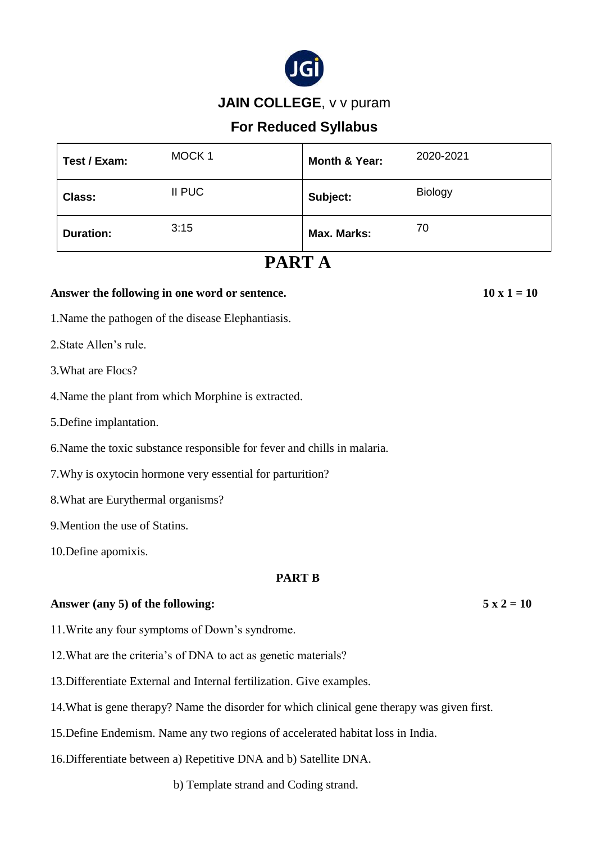

## **JAIN COLLEGE**, v v puram

# **For Reduced Syllabus**

| Test / Exam:     | MOCK <sub>1</sub> | Month & Year: | 2020-2021      |
|------------------|-------------------|---------------|----------------|
| <b>Class:</b>    | II PUC            | Subject:      | <b>Biology</b> |
| <b>Duration:</b> | 3:15              | Max. Marks:   | 70             |

# **PART A**

### Answer the following in one word or sentence.  $10 \times 1 = 10$

1.Name the pathogen of the disease Elephantiasis.

2.State Allen's rule.

- 3.What are Flocs?
- 4.Name the plant from which Morphine is extracted.
- 5.Define implantation.

6.Name the toxic substance responsible for fever and chills in malaria.

7.Why is oxytocin hormone very essential for parturition?

8.What are Eurythermal organisms?

9.Mention the use of Statins.

10.Define apomixis.

### **PART B**

### Answer (any 5) of the following:  $5 \times 2 = 10$

- 11.Write any four symptoms of Down's syndrome.
- 12.What are the criteria's of DNA to act as genetic materials?
- 13.Differentiate External and Internal fertilization. Give examples.
- 14.What is gene therapy? Name the disorder for which clinical gene therapy was given first.
- 15.Define Endemism. Name any two regions of accelerated habitat loss in India.
- 16.Differentiate between a) Repetitive DNA and b) Satellite DNA.
	- b) Template strand and Coding strand.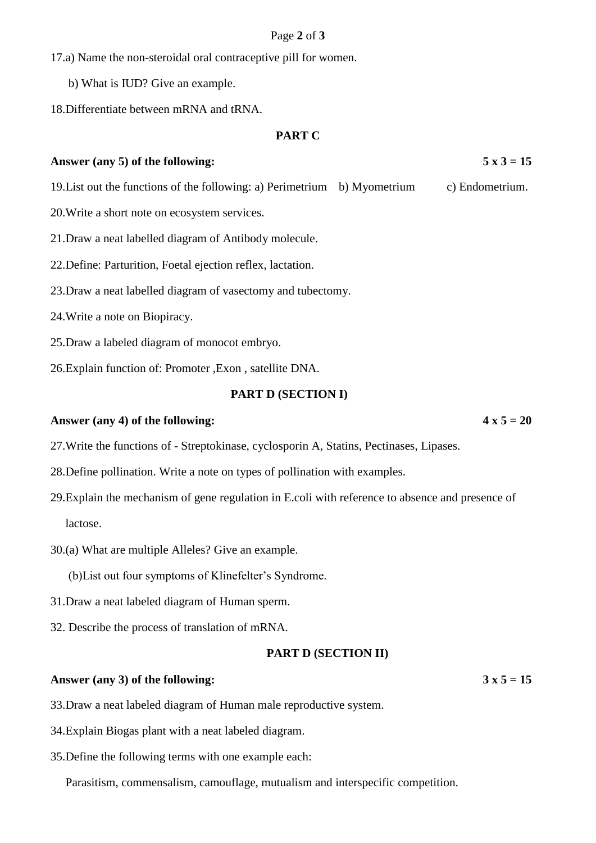#### Page **2** of **3**

17.a) Name the non-steroidal oral contraceptive pill for women.

b) What is IUD? Give an example.

18.Differentiate between mRNA and tRNA.

#### **PART C**

### Answer (any 5) of the following:  $5 \times 3 = 15$

- 19.List out the functions of the following: a) Perimetrium b) Myometrium c) Endometrium.
- 20.Write a short note on ecosystem services.
- 21.Draw a neat labelled diagram of Antibody molecule.
- 22.Define: Parturition, Foetal ejection reflex, lactation.
- 23.Draw a neat labelled diagram of vasectomy and tubectomy.
- 24.Write a note on Biopiracy.
- 25.Draw a labeled diagram of monocot embryo.
- 26.Explain function of: Promoter ,Exon , satellite DNA.

#### **PART D (SECTION I)**

#### Answer (any 4) of the following:  $4 \times 5 = 20$

- 27.Write the functions of Streptokinase, cyclosporin A, Statins, Pectinases, Lipases.
- 28.Define pollination. Write a note on types of pollination with examples.
- 29.Explain the mechanism of gene regulation in E.coli with reference to absence and presence of lactose.
- 30.(a) What are multiple Alleles? Give an example.
	- (b)List out four symptoms of Klinefelter's Syndrome.
- 31.Draw a neat labeled diagram of Human sperm.
- 32. Describe the process of translation of mRNA.

#### **PART D (SECTION II)**

#### Answer (any 3) of the following:  $3 \times 5 = 15$

33.Draw a neat labeled diagram of Human male reproductive system.

- 34.Explain Biogas plant with a neat labeled diagram.
- 35.Define the following terms with one example each:

Parasitism, commensalism, camouflage, mutualism and interspecific competition.